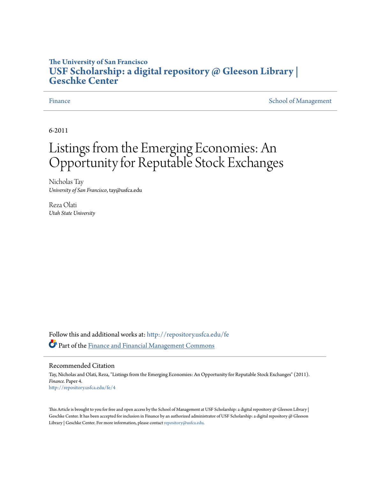# **The University of San Francisco [USF Scholarship: a digital repository @ Gleeson Library |](http://repository.usfca.edu?utm_source=repository.usfca.edu%2Ffe%2F4&utm_medium=PDF&utm_campaign=PDFCoverPages) [Geschke Center](http://repository.usfca.edu?utm_source=repository.usfca.edu%2Ffe%2F4&utm_medium=PDF&utm_campaign=PDFCoverPages)**

[Finance](http://repository.usfca.edu/fe?utm_source=repository.usfca.edu%2Ffe%2F4&utm_medium=PDF&utm_campaign=PDFCoverPages) [School of Management](http://repository.usfca.edu/management?utm_source=repository.usfca.edu%2Ffe%2F4&utm_medium=PDF&utm_campaign=PDFCoverPages)

6-2011

# Listings from the Emerging Economies: An Opportunity for Reputable Stock Exchanges

Nicholas Tay *University of San Francisco*, tay@usfca.edu

Reza Olati *Utah State University*

Follow this and additional works at: [http://repository.usfca.edu/fe](http://repository.usfca.edu/fe?utm_source=repository.usfca.edu%2Ffe%2F4&utm_medium=PDF&utm_campaign=PDFCoverPages) Part of the [Finance and Financial Management Commons](http://network.bepress.com/hgg/discipline/631?utm_source=repository.usfca.edu%2Ffe%2F4&utm_medium=PDF&utm_campaign=PDFCoverPages)

### Recommended Citation

Tay, Nicholas and Olati, Reza, "Listings from the Emerging Economies: An Opportunity for Reputable Stock Exchanges" (2011). *Finance.* Paper 4. [http://repository.usfca.edu/fe/4](http://repository.usfca.edu/fe/4?utm_source=repository.usfca.edu%2Ffe%2F4&utm_medium=PDF&utm_campaign=PDFCoverPages)

This Article is brought to you for free and open access by the School of Management at USF Scholarship: a digital repository  $\omega$  Gleeson Library | Geschke Center. It has been accepted for inclusion in Finance by an authorized administrator of USF Scholarship: a digital repository @ Gleeson Library | Geschke Center. For more information, please contact [repository@usfca.edu.](mailto:repository@usfca.edu)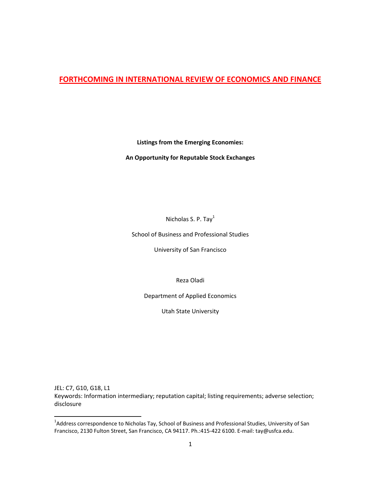# **FORTHCOMING IN INTERNATIONAL REVIEW OF ECONOMICS AND FINANCE**

**Listings from the Emerging Economies:** 

**An Opportunity for Reputable Stock Exchanges**

Nicholas S. P. Tay<sup>1</sup>

School of Business and Professional Studies

University of San Francisco

Reza Oladi

Department of Applied Economics

Utah State University

JEL: C7, G10, G18, L1 Keywords: Information intermediary; reputation capital; listing requirements; adverse selection; disclosure

 1 Address correspondence to Nicholas Tay, School of Business and Professional Studies, University of San Francisco, 2130 Fulton Street, San Francisco, CA 94117. Ph.:415‐422 6100. E‐mail: tay@usfca.edu.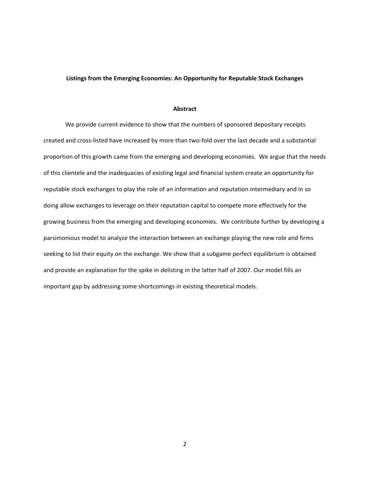#### **Listings from the Emerging Economies: An Opportunity for Reputable Stock Exchanges**

#### **Abstract**

We provide current evidence to show that the numbers of sponsored depositary receipts created and cross-listed have increased by more than two-fold over the last decade and a substantial proportion of this growth came from the emerging and developing economies. We argue that the needs of this clientele and the inadequacies of existing legal and financial system create an opportunity for reputable stock exchanges to play the role of an information and reputation intermediary and in so doing allow exchanges to leverage on their reputation capital to compete more effectively for the growing business from the emerging and developing economies. We contribute further by developing a parsimonious model to analyze the interaction between an exchange playing the new role and firms seeking to list their equity on the exchange. We show that a subgame perfect equilibrium is obtained and provide an explanation for the spike in delisting in the latter half of 2007. Our model fills an important gap by addressing some shortcomings in existing theoretical models.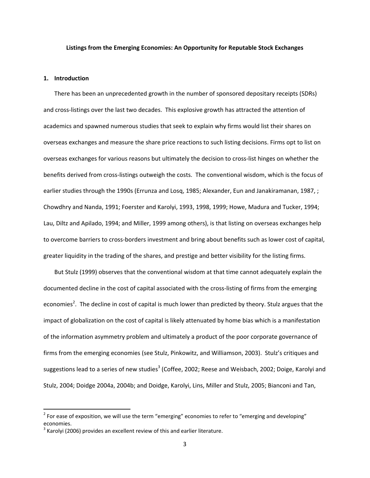#### **Listings from the Emerging Economies: An Opportunity for Reputable Stock Exchanges**

#### **1. Introduction**

There has been an unprecedented growth in the number of sponsored depositary receipts (SDRs) and cross‐listings over the last two decades. This explosive growth has attracted the attention of academics and spawned numerous studies that seek to explain why firms would list their shares on overseas exchanges and measure the share price reactions to such listing decisions. Firms opt to list on overseas exchanges for various reasons but ultimately the decision to cross-list hinges on whether the benefits derived from cross‐listings outweigh the costs. The conventional wisdom, which is the focus of earlier studies through the 1990s (Errunza and Losq, 1985; Alexander, Eun and Janakiramanan, 1987, ; Chowdhry and Nanda, 1991; Foerster and Karolyi, 1993, 1998, 1999; Howe, Madura and Tucker, 1994; Lau, Diltz and Apilado, 1994; and Miller, 1999 among others), is that listing on overseas exchanges help to overcome barriers to cross‐borders investment and bring about benefits such as lower cost of capital, greater liquidity in the trading of the shares, and prestige and better visibility for the listing firms.

But Stulz (1999) observes that the conventional wisdom at that time cannot adequately explain the documented decline in the cost of capital associated with the cross‐listing of firms from the emerging economies<sup>2</sup>. The decline in cost of capital is much lower than predicted by theory. Stulz argues that the impact of globalization on the cost of capital is likely attenuated by home bias which is a manifestation of the information asymmetry problem and ultimately a product of the poor corporate governance of firms from the emerging economies (see Stulz, Pinkowitz, and Williamson, 2003). Stulz's critiques and suggestions lead to a series of new studies<sup>3</sup> (Coffee, 2002; Reese and Weisbach, 2002; Doige, Karolyi and Stulz, 2004; Doidge 2004a, 2004b; and Doidge, Karolyi, Lins, Miller and Stulz, 2005; Bianconi and Tan,

 $2$  For ease of exposition, we will use the term "emerging" economies to refer to "emerging and developing" economies.

 $3$  Karolvi (2006) provides an excellent review of this and earlier literature.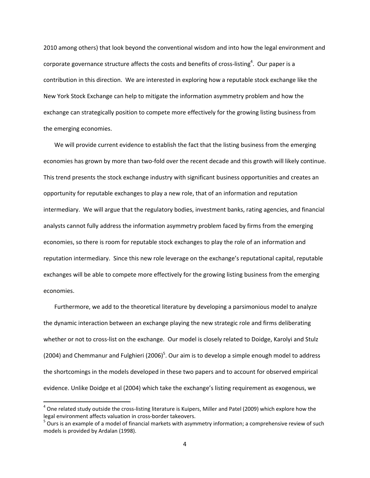2010 among others) that look beyond the conventional wisdom and into how the legal environment and corporate governance structure affects the costs and benefits of cross-listing<sup>4</sup>. Our paper is a contribution in this direction. We are interested in exploring how a reputable stock exchange like the New York Stock Exchange can help to mitigate the information asymmetry problem and how the exchange can strategically position to compete more effectively for the growing listing business from the emerging economies.

We will provide current evidence to establish the fact that the listing business from the emerging economies has grown by more than two-fold over the recent decade and this growth will likely continue. This trend presents the stock exchange industry with significant business opportunities and creates an opportunity for reputable exchanges to play a new role, that of an information and reputation intermediary. We will argue that the regulatory bodies, investment banks, rating agencies, and financial analysts cannot fully address the information asymmetry problem faced by firms from the emerging economies, so there is room for reputable stock exchanges to play the role of an information and reputation intermediary. Since this new role leverage on the exchange's reputational capital, reputable exchanges will be able to compete more effectively for the growing listing business from the emerging economies.

Furthermore, we add to the theoretical literature by developing a parsimonious model to analyze the dynamic interaction between an exchange playing the new strategic role and firms deliberating whether or not to cross-list on the exchange. Our model is closely related to Doidge, Karolyi and Stulz (2004) and Chemmanur and Fulghieri (2006)<sup>5</sup>. Our aim is to develop a simple enough model to address the shortcomings in the models developed in these two papers and to account for observed empirical evidence. Unlike Doidge et al (2004) which take the exchange's listing requirement as exogenous, we

 $^4$  One related study outside the cross-listing literature is Kuipers, Miller and Patel (2009) which explore how the legal environment affects valuation in cross-border takeovers.<br><sup>5</sup> Ours is an example of a model of financial markets with asymmetry information; a comprehensive review of such

models is provided by Ardalan (1998).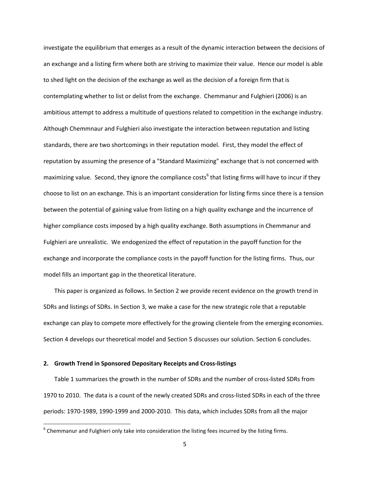investigate the equilibrium that emerges as a result of the dynamic interaction between the decisions of an exchange and a listing firm where both are striving to maximize their value. Hence our model is able to shed light on the decision of the exchange as well as the decision of a foreign firm that is contemplating whether to list or delist from the exchange. Chemmanur and Fulghieri (2006) is an ambitious attempt to address a multitude of questions related to competition in the exchange industry. Although Chemmnaur and Fulghieri also investigate the interaction between reputation and listing standards, there are two shortcomings in their reputation model. First, they model the effect of reputation by assuming the presence of a "Standard Maximizing" exchange that is not concerned with maximizing value. Second, they ignore the compliance costs<sup>6</sup> that listing firms will have to incur if they choose to list on an exchange. This is an important consideration for listing firms since there is a tension between the potential of gaining value from listing on a high quality exchange and the incurrence of higher compliance costs imposed by a high quality exchange. Both assumptions in Chemmanur and Fulghieri are unrealistic. We endogenized the effect of reputation in the payoff function for the exchange and incorporate the compliance costs in the payoff function for the listing firms. Thus, our model fills an important gap in the theoretical literature.

This paper is organized as follows. In Section 2 we provide recent evidence on the growth trend in SDRs and listings of SDRs. In Section 3, we make a case for the new strategic role that a reputable exchange can play to compete more effectively for the growing clientele from the emerging economies. Section 4 develops our theoretical model and Section 5 discusses our solution. Section 6 concludes.

### **2. Growth Trend in Sponsored Depositary Receipts and Cross‐listings**

Table 1 summarizes the growth in the number of SDRs and the number of cross‐listed SDRs from 1970 to 2010. The data is a count of the newly created SDRs and cross-listed SDRs in each of the three periods: 1970‐1989, 1990‐1999 and 2000‐2010. This data, which includes SDRs from all the major

 $6$  Chemmanur and Fulghieri only take into consideration the listing fees incurred by the listing firms.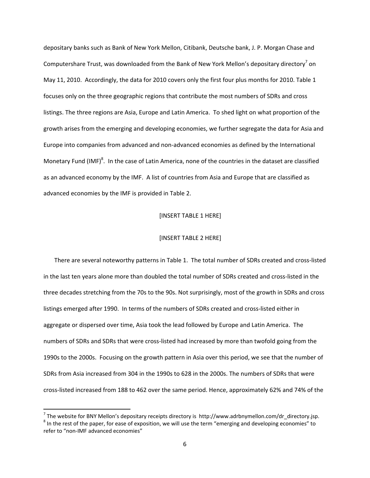depositary banks such as Bank of New York Mellon, Citibank, Deutsche bank, J. P. Morgan Chase and Computershare Trust, was downloaded from the Bank of New York Mellon's depositary directory<sup>7</sup> on May 11, 2010. Accordingly, the data for 2010 covers only the first four plus months for 2010. Table 1 focuses only on the three geographic regions that contribute the most numbers of SDRs and cross listings. The three regions are Asia, Europe and Latin America. To shed light on what proportion of the growth arises from the emerging and developing economies, we further segregate the data for Asia and Europe into companies from advanced and non‐advanced economies as defined by the International Monetary Fund (IMF)<sup>8</sup>. In the case of Latin America, none of the countries in the dataset are classified as an advanced economy by the IMF. A list of countries from Asia and Europe that are classified as advanced economies by the IMF is provided in Table 2.

#### [INSERT TABLE 1 HERE]

#### [INSERT TABLE 2 HERE]

There are several noteworthy patterns in Table 1. The total number of SDRs created and cross‐listed in the last ten years alone more than doubled the total number of SDRs created and cross‐listed in the three decades stretching from the 70s to the 90s. Not surprisingly, most of the growth in SDRs and cross listings emerged after 1990. In terms of the numbers of SDRs created and cross-listed either in aggregate or dispersed over time, Asia took the lead followed by Europe and Latin America. The numbers of SDRs and SDRs that were cross‐listed had increased by more than twofold going from the 1990s to the 2000s. Focusing on the growth pattern in Asia over this period, we see that the number of SDRs from Asia increased from 304 in the 1990s to 628 in the 2000s. The numbers of SDRs that were cross‐listed increased from 188 to 462 over the same period. Hence, approximately 62% and 74% of the

<sup>&</sup>lt;sup>7</sup> The website for BNY Mellon's depositary receipts directory is  $http://www.adrbnymellon.com/dr_directory.jsp.$ <sup>8</sup> In the rest of the paper, for ease of exposition, we will use the term "emerging and developing economies" to refer to "non‐IMF advanced economies"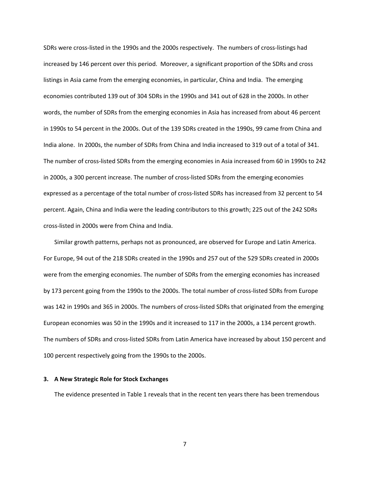SDRs were cross‐listed in the 1990s and the 2000s respectively. The numbers of cross‐listings had increased by 146 percent over this period. Moreover, a significant proportion of the SDRs and cross listings in Asia came from the emerging economies, in particular, China and India. The emerging economies contributed 139 out of 304 SDRs in the 1990s and 341 out of 628 in the 2000s. In other words, the number of SDRs from the emerging economies in Asia has increased from about 46 percent in 1990s to 54 percent in the 2000s. Out of the 139 SDRs created in the 1990s, 99 came from China and India alone. In 2000s, the number of SDRs from China and India increased to 319 out of a total of 341. The number of cross‐listed SDRs from the emerging economies in Asia increased from 60 in 1990s to 242 in 2000s, a 300 percent increase. The number of cross‐listed SDRs from the emerging economies expressed as a percentage of the total number of cross‐listed SDRs has increased from 32 percent to 54 percent. Again, China and India were the leading contributors to this growth; 225 out of the 242 SDRs cross‐listed in 2000s were from China and India.

Similar growth patterns, perhaps not as pronounced, are observed for Europe and Latin America. For Europe, 94 out of the 218 SDRs created in the 1990s and 257 out of the 529 SDRs created in 2000s were from the emerging economies. The number of SDRs from the emerging economies has increased by 173 percent going from the 1990s to the 2000s. The total number of cross-listed SDRs from Europe was 142 in 1990s and 365 in 2000s. The numbers of cross‐listed SDRs that originated from the emerging European economies was 50 in the 1990s and it increased to 117 in the 2000s, a 134 percent growth. The numbers of SDRs and cross‐listed SDRs from Latin America have increased by about 150 percent and 100 percent respectively going from the 1990s to the 2000s.

#### **3. A New Strategic Role for Stock Exchanges**

The evidence presented in Table 1 reveals that in the recent ten years there has been tremendous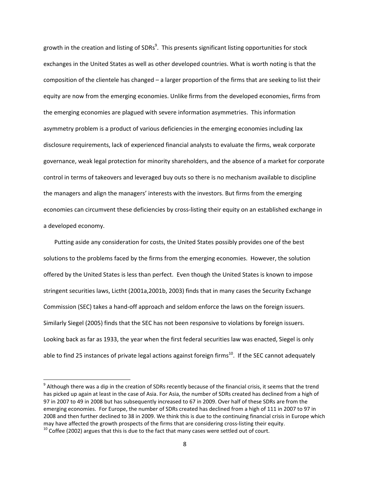growth in the creation and listing of SDRs $^9$ . This presents significant listing opportunities for stock exchanges in the United States as well as other developed countries. What is worth noting is that the composition of the clientele has changed – a larger proportion of the firms that are seeking to list their equity are now from the emerging economies. Unlike firms from the developed economies, firms from the emerging economies are plagued with severe information asymmetries. This information asymmetry problem is a product of various deficiencies in the emerging economies including lax disclosure requirements, lack of experienced financial analysts to evaluate the firms, weak corporate governance, weak legal protection for minority shareholders, and the absence of a market for corporate control in terms of takeovers and leveraged buy outs so there is no mechanism available to discipline the managers and align the managers' interests with the investors. But firms from the emerging economies can circumvent these deficiencies by cross‐listing their equity on an established exchange in a developed economy.

Putting aside any consideration for costs, the United States possibly provides one of the best solutions to the problems faced by the firms from the emerging economies. However, the solution offered by the United States is less than perfect. Even though the United States is known to impose stringent securities laws, Lictht (2001a,2001b, 2003) finds that in many cases the Security Exchange Commission (SEC) takes a hand‐off approach and seldom enforce the laws on the foreign issuers. Similarly Siegel (2005) finds that the SEC has not been responsive to violations by foreign issuers. Looking back as far as 1933, the year when the first federal securities law was enacted, Siegel is only able to find 25 instances of private legal actions against foreign firms<sup>10</sup>. If the SEC cannot adequately

<sup>&</sup>lt;sup>9</sup> Although there was a dip in the creation of SDRs recently because of the financial crisis, it seems that the trend has picked up again at least in the case of Asia. For Asia, the number of SDRs created has declined from a high of 97 in 2007 to 49 in 2008 but has subsequently increased to 67 in 2009. Over half of these SDRs are from the emerging economies. For Europe, the number of SDRs created has declined from a high of 111 in 2007 to 97 in 2008 and then further declined to 38 in 2009. We think this is due to the continuing financial crisis in Europe which may have affected the growth prospects of the firms that are considering cross-listing their equity.  $10$  Coffee (2002) argues that this is due to the fact that many cases were settled out of court.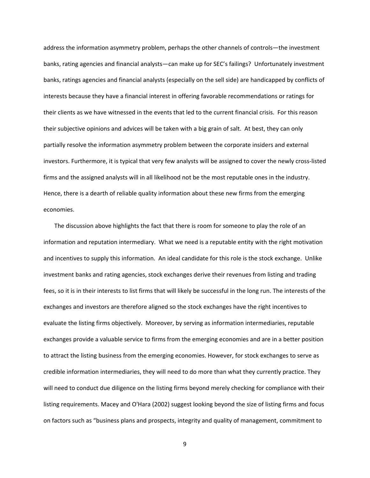address the information asymmetry problem, perhaps the other channels of controls—the investment banks, rating agencies and financial analysts—can make up for SEC's failings? Unfortunately investment banks, ratings agencies and financial analysts (especially on the sell side) are handicapped by conflicts of interests because they have a financial interest in offering favorable recommendations or ratings for their clients as we have witnessed in the events that led to the current financial crisis. For this reason their subjective opinions and advices will be taken with a big grain of salt. At best, they can only partially resolve the information asymmetry problem between the corporate insiders and external investors. Furthermore, it is typical that very few analysts will be assigned to cover the newly cross‐listed firms and the assigned analysts will in all likelihood not be the most reputable ones in the industry. Hence, there is a dearth of reliable quality information about these new firms from the emerging economies.

The discussion above highlights the fact that there is room for someone to play the role of an information and reputation intermediary. What we need is a reputable entity with the right motivation and incentives to supply this information. An ideal candidate for this role is the stock exchange. Unlike investment banks and rating agencies, stock exchanges derive their revenues from listing and trading fees, so it is in their interests to list firms that will likely be successful in the long run. The interests of the exchanges and investors are therefore aligned so the stock exchanges have the right incentives to evaluate the listing firms objectively. Moreover, by serving as information intermediaries, reputable exchanges provide a valuable service to firms from the emerging economies and are in a better position to attract the listing business from the emerging economies. However, for stock exchanges to serve as credible information intermediaries, they will need to do more than what they currently practice. They will need to conduct due diligence on the listing firms beyond merely checking for compliance with their listing requirements. Macey and O'Hara (2002) suggest looking beyond the size of listing firms and focus on factors such as "business plans and prospects, integrity and quality of management, commitment to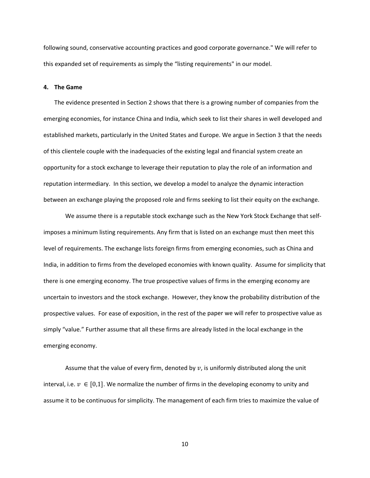following sound, conservative accounting practices and good corporate governance." We will refer to this expanded set of requirements as simply the "listing requirements" in our model.

#### **4. The Game**

The evidence presented in Section 2 shows that there is a growing number of companies from the emerging economies, for instance China and India, which seek to list their shares in well developed and established markets, particularly in the United States and Europe. We argue in Section 3 that the needs of this clientele couple with the inadequacies of the existing legal and financial system create an opportunity for a stock exchange to leverage their reputation to play the role of an information and reputation intermediary. In this section, we develop a model to analyze the dynamic interaction between an exchange playing the proposed role and firms seeking to list their equity on the exchange.

We assume there is a reputable stock exchange such as the New York Stock Exchange that selfimposes a minimum listing requirements. Any firm that is listed on an exchange must then meet this level of requirements. The exchange lists foreign firms from emerging economies, such as China and India, in addition to firms from the developed economies with known quality. Assume for simplicity that there is one emerging economy. The true prospective values of firms in the emerging economy are uncertain to investors and the stock exchange. However, they know the probability distribution of the prospective values. For ease of exposition, in the rest of the paper we will refer to prospective value as simply "value." Further assume that all these firms are already listed in the local exchange in the emerging economy.

Assume that the value of every firm, denoted by  $v$ , is uniformly distributed along the unit interval, i.e.  $v \in [0,1]$ . We normalize the number of firms in the developing economy to unity and assume it to be continuous for simplicity. The management of each firm tries to maximize the value of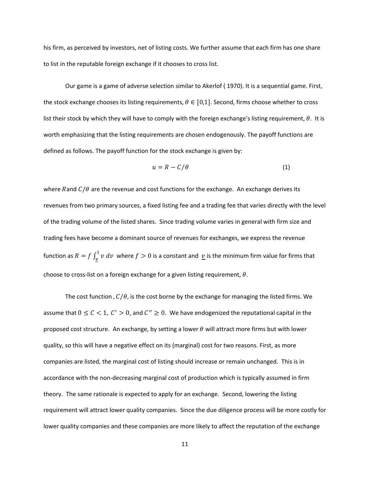his firm, as perceived by investors, net of listing costs. We further assume that each firm has one share to list in the reputable foreign exchange if it chooses to cross list.

Our game is a game of adverse selection similar to Akerlof ( 1970). It is a sequential game. First, the stock exchange chooses its listing requirements,  $\theta \in [0,1]$ . Second, firms choose whether to cross list their stock by which they will have to comply with the foreign exchange's listing requirement,  $\theta$ . It is worth emphasizing that the listing requirements are chosen endogenously. The payoff functions are defined as follows. The payoff function for the stock exchange is given by:

$$
u = R - C/\theta \tag{1}
$$

where Rand  $C/\theta$  are the revenue and cost functions for the exchange. An exchange derives its revenues from two primary sources, a fixed listing fee and a trading fee that varies directly with the level of the trading volume of the listed shares. Since trading volume varies in general with firm size and trading fees have become a dominant source of revenues for exchanges, we express the revenue function as  $R=f\int_{\bm{\mathcal{v}}}^{\bm{1}}v\,d v$  where  $f>0$  is a constant and  $\,\underline{v}$  is the minimum firm value for firms that choose to cross-list on a foreign exchange for a given listing requirement,  $\theta$ .

The cost function ,  $C/\theta$ , is the cost borne by the exchange for managing the listed firms. We assume that  $0 \le C < 1$ ,  $C' > 0$ , and  $C'' \ge 0$ . We have endogenized the reputational capital in the proposed cost structure. An exchange, by setting a lower  $\theta$  will attract more firms but with lower quality, so this will have a negative effect on its (marginal) cost for two reasons. First, as more companies are listed, the marginal cost of listing should increase or remain unchanged. This is in accordance with the non-decreasing marginal cost of production which is typically assumed in firm theory. The same rationale is expected to apply for an exchange. Second, lowering the listing requirement will attract lower quality companies. Since the due diligence process will be more costly for lower quality companies and these companies are more likely to affect the reputation of the exchange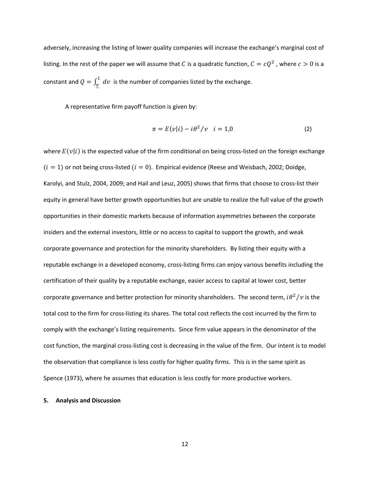adversely, increasing the listing of lower quality companies will increase the exchange's marginal cost of listing. In the rest of the paper we will assume that C is a quadratic function,  $C = cQ^2$ , where  $c > 0$  is a constant and  $Q = \int_{\underline{v}}^1 dv$  is the number of companies listed by the exchange.

A representative firm payoff function is given by:

$$
\pi = E(v|i) - i\theta^2/v \quad i = 1,0 \tag{2}
$$

where  $E(v|i)$  is the expected value of the firm conditional on being cross-listed on the foreign exchange  $(i = 1)$  or not being cross-listed  $(i = 0)$ . Empirical evidence (Reese and Weisbach, 2002; Doidge, Karolyi, and Stulz, 2004, 2009; and Hail and Leuz, 2005) shows that firms that choose to cross‐list their equity in general have better growth opportunities but are unable to realize the full value of the growth opportunities in their domestic markets because of information asymmetries between the corporate insiders and the external investors, little or no access to capital to support the growth, and weak corporate governance and protection for the minority shareholders. By listing their equity with a reputable exchange in a developed economy, cross‐listing firms can enjoy various benefits including the certification of their quality by a reputable exchange, easier access to capital at lower cost, better corporate governance and better protection for minority shareholders. The second term,  $i\theta^2/v$  is the total cost to the firm for cross‐listing its shares. The total cost reflects the cost incurred by the firm to comply with the exchange's listing requirements. Since firm value appears in the denominator of the cost function, the marginal cross‐listing cost is decreasing in the value of the firm. Our intent is to model the observation that compliance is less costly for higher quality firms. This is in the same spirit as Spence (1973), where he assumes that education is less costly for more productive workers.

#### **5. Analysis and Discussion**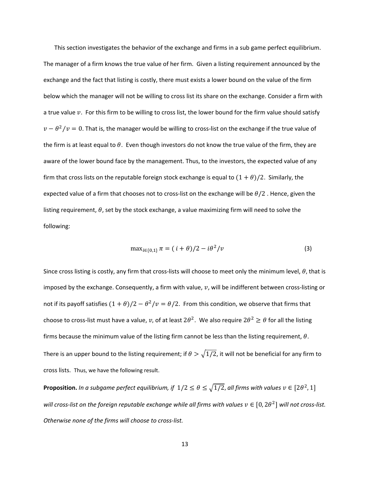This section investigates the behavior of the exchange and firms in a sub game perfect equilibrium. The manager of a firm knows the true value of her firm. Given a listing requirement announced by the exchange and the fact that listing is costly, there must exists a lower bound on the value of the firm below which the manager will not be willing to cross list its share on the exchange. Consider a firm with a true value  $v$ . For this firm to be willing to cross list, the lower bound for the firm value should satisfy  $v - \theta^2/v = 0$ . That is, the manager would be willing to cross-list on the exchange if the true value of the firm is at least equal to  $\theta$ . Even though investors do not know the true value of the firm, they are aware of the lower bound face by the management. Thus, to the investors, the expected value of any firm that cross lists on the reputable foreign stock exchange is equal to  $(1 + \theta)/2$ . Similarly, the expected value of a firm that chooses not to cross-list on the exchange will be  $\theta/2$ . Hence, given the listing requirement,  $\theta$ , set by the stock exchange, a value maximizing firm will need to solve the following:

$$
\max_{i \in \{0,1\}} \pi = (i + \theta)/2 - i\theta^2/v \tag{3}
$$

Since cross listing is costly, any firm that cross-lists will choose to meet only the minimum level,  $\theta$ , that is imposed by the exchange. Consequently, a firm with value,  $v$ , will be indifferent between cross-listing or not if its payoff satisfies  $(1 + \theta)/2 - \theta^2/\nu = \theta/2$ . From this condition, we observe that firms that choose to cross-list must have a value, v, of at least  $2\theta^2$ . We also require  $2\theta^2 \ge \theta$  for all the listing firms because the minimum value of the listing firm cannot be less than the listing requirement,  $\theta$ . There is an upper bound to the listing requirement; if  $\theta > \sqrt{1/2}$ , it will not be beneficial for any firm to cross lists. Thus, we have the following result.

**Proposition.** In a subgame perfect equilibrium, if  $1/2 \le \theta \le \sqrt{1/2}$ , all firms with values  $v \in [2\theta^2, 1]$ will cross-list on the foreign reputable exchange while all firms with values  $v \in [0, 2\theta^2]$  will not cross-list. *Otherwise none of the firms will choose to cross‐list.*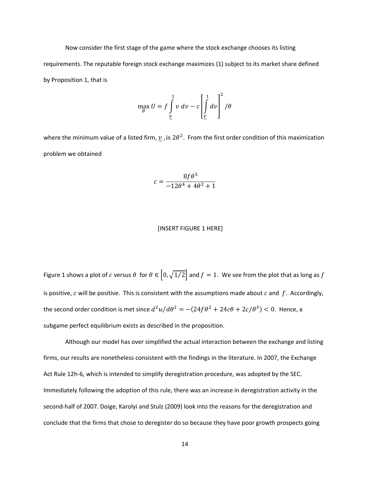Now consider the first stage of the game where the stock exchange chooses its listing requirements. The reputable foreign stock exchange maximizes (1) subject to its market share defined by Proposition 1, that is

$$
\max_{\theta} U = f \int_{\underline{v}}^{1} v \, dv - c \left[ \int_{\underline{v}}^{1} dv \right]^2 / \theta
$$

where the minimum value of a listed firm,  $v$ , is  $2\theta^2$ . From the first order condition of this maximization problem we obtained

$$
c = \frac{8f\theta^5}{-12\theta^4 + 4\theta^2 + 1}
$$

#### [INSERT FIGURE 1 HERE]

Figure 1 shows a plot of c versus  $\theta$  for  $\theta \in (0, \sqrt{1/2}]$  and  $f = 1$ . We see from the plot that as long as f is positive,  $c$  will be positive. This is consistent with the assumptions made about  $c$  and  $f$ . Accordingly, the second order condition is met since  $d^2u/d\theta^2 = -(24f\theta^2 + 24c\theta + 2c/\theta^3) < 0$ . Hence, a subgame perfect equilibrium exists as described in the proposition.

Although our model has over simplified the actual interaction between the exchange and listing firms, our results are nonetheless consistent with the findings in the literature. In 2007, the Exchange Act Rule 12h‐6, which is intended to simplify deregistration procedure, was adopted by the SEC. Immediately following the adoption of this rule, there was an increase in deregistration activity in the second-half of 2007. Doige, Karolyi and Stulz (2009) look into the reasons for the deregistration and conclude that the firms that chose to deregister do so because they have poor growth prospects going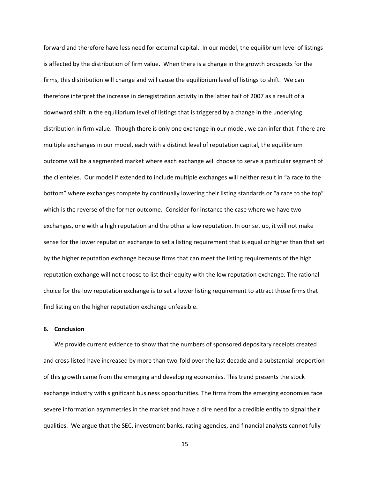forward and therefore have less need for external capital. In our model, the equilibrium level of listings is affected by the distribution of firm value. When there is a change in the growth prospects for the firms, this distribution will change and will cause the equilibrium level of listings to shift. We can therefore interpret the increase in deregistration activity in the latter half of 2007 as a result of a downward shift in the equilibrium level of listings that is triggered by a change in the underlying distribution in firm value. Though there is only one exchange in our model, we can infer that if there are multiple exchanges in our model, each with a distinct level of reputation capital, the equilibrium outcome will be a segmented market where each exchange will choose to serve a particular segment of the clienteles. Our model if extended to include multiple exchanges will neither result in "a race to the bottom" where exchanges compete by continually lowering their listing standards or "a race to the top" which is the reverse of the former outcome. Consider for instance the case where we have two exchanges, one with a high reputation and the other a low reputation. In our set up, it will not make sense for the lower reputation exchange to set a listing requirement that is equal or higher than that set by the higher reputation exchange because firms that can meet the listing requirements of the high reputation exchange will not choose to list their equity with the low reputation exchange. The rational choice for the low reputation exchange is to set a lower listing requirement to attract those firms that find listing on the higher reputation exchange unfeasible.

#### **6. Conclusion**

We provide current evidence to show that the numbers of sponsored depositary receipts created and cross-listed have increased by more than two-fold over the last decade and a substantial proportion of this growth came from the emerging and developing economies. This trend presents the stock exchange industry with significant business opportunities. The firms from the emerging economies face severe information asymmetries in the market and have a dire need for a credible entity to signal their qualities. We argue that the SEC, investment banks, rating agencies, and financial analysts cannot fully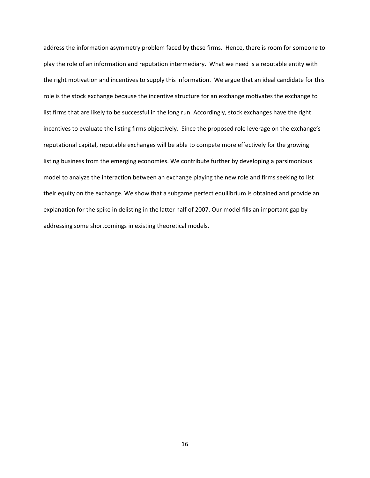address the information asymmetry problem faced by these firms. Hence, there is room for someone to play the role of an information and reputation intermediary. What we need is a reputable entity with the right motivation and incentives to supply this information. We argue that an ideal candidate for this role is the stock exchange because the incentive structure for an exchange motivates the exchange to list firms that are likely to be successful in the long run. Accordingly, stock exchanges have the right incentives to evaluate the listing firms objectively. Since the proposed role leverage on the exchange's reputational capital, reputable exchanges will be able to compete more effectively for the growing listing business from the emerging economies. We contribute further by developing a parsimonious model to analyze the interaction between an exchange playing the new role and firms seeking to list their equity on the exchange. We show that a subgame perfect equilibrium is obtained and provide an explanation for the spike in delisting in the latter half of 2007. Our model fills an important gap by addressing some shortcomings in existing theoretical models.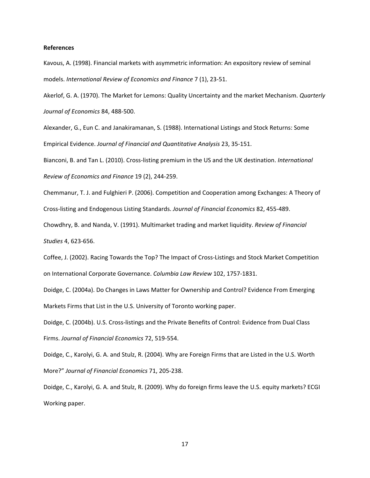#### **References**

Kavous, A. (1998). Financial markets with asymmetric information: An expository review of seminal models. *International Review of Economics and Finance* 7 (1), 23‐51.

Akerlof, G. A. (1970). The Market for Lemons: Quality Uncertainty and the market Mechanism. *Quarterly Journal of Economics* 84, 488‐500.

Alexander, G., Eun C. and Janakiramanan, S. (1988). International Listings and Stock Returns: Some Empirical Evidence. *Journal of Financial and Quantitative Analysis* 23, 35‐151.

Bianconi, B. and Tan L. (2010). Cross‐listing premium in the US and the UK destination. *International Review of Economics and Finance* 19 (2), 244‐259.

Chemmanur, T. J. and Fulghieri P. (2006). Competition and Cooperation among Exchanges: A Theory of Cross‐listing and Endogenous Listing Standards. *Journal of Financial Economics* 82, 455‐489.

Chowdhry, B. and Nanda, V. (1991). Multimarket trading and market liquidity. *Review of Financial Studies* 4, 623‐656.

Coffee, J. (2002). Racing Towards the Top? The Impact of Cross‐Listings and Stock Market Competition on International Corporate Governance. *Columbia Law Review* 102, 1757‐1831.

Doidge, C. (2004a). Do Changes in Laws Matter for Ownership and Control? Evidence From Emerging Markets Firms that List in the U.S. University of Toronto working paper.

Doidge, C. (2004b). U.S. Cross‐listings and the Private Benefits of Control: Evidence from Dual Class Firms. *Journal of Financial Economics* 72, 519‐554.

Doidge, C., Karolyi, G. A. and Stulz, R. (2004). Why are Foreign Firms that are Listed in the U.S. Worth More?" *Journal of Financial Economics* 71, 205‐238.

Doidge, C., Karolyi, G. A. and Stulz, R. (2009). Why do foreign firms leave the U.S. equity markets? ECGI Working paper.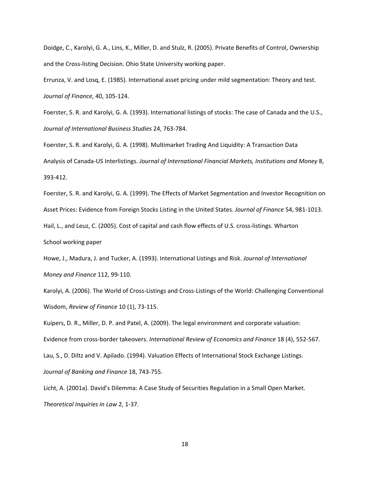Doidge, C., Karolyi, G. A., Lins, K., Miller, D. and Stulz, R. (2005). Private Benefits of Control, Ownership and the Cross‐listing Decision. Ohio State University working paper.

Errunza, V. and Losq, E. (1985). International asset pricing under mild segmentation: Theory and test. *Journal of Finance*, 40, 105‐124.

Foerster, S. R. and Karolyi, G. A. (1993). International listings of stocks: The case of Canada and the U.S., *Journal of International Business Studies* 24, 763‐784.

Foerster, S. R. and Karolyi, G. A. (1998). Multimarket Trading And Liquidity: A Transaction Data Analysis of Canada‐US Interlistings. *Journal of International Financial Markets, Institutions and Money* 8, 393‐412.

Foerster, S. R. and Karolyi, G. A. (1999). The Effects of Market Segmentation and Investor Recognition on Asset Prices: Evidence from Foreign Stocks Listing in the United States. *Journal of Finance* 54, 981‐1013.

Hail, L., and Leuz, C. (2005). Cost of capital and cash flow effects of U.S. cross-listings. Wharton

School working paper

Howe, J., Madura, J. and Tucker, A. (1993). International Listings and Risk. *Journal of International Money and Finance* 112, 99‐110.

Karolyi, A. (2006). The World of Cross‐Listings and Cross‐Listings of the World: Challenging Conventional Wisdom, *Review of Finance* 10 (1), 73‐115.

Kuipers, D. R., Miller, D. P. and Patel, A. (2009). The legal environment and corporate valuation: Evidence from cross‐border takeovers. *International Review of Economics and Finance* 18 (4), 552‐567. Lau, S., D. Diltz and V. Apilado. (1994). Valuation Effects of International Stock Exchange Listings. *Journal of Banking and Finance* 18, 743‐755.

Licht, A. (2001a). David's Dilemma: A Case Study of Securities Regulation in a Small Open Market. *Theoretical Inquiries in Law* 2, 1‐37.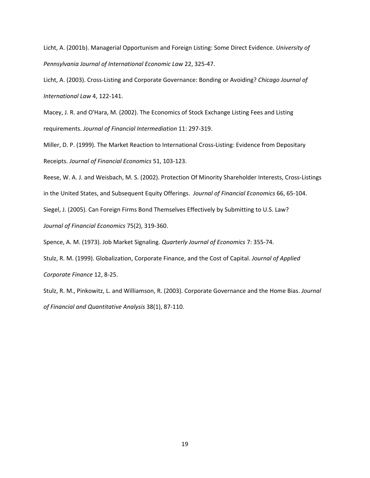Licht, A. (2001b). Managerial Opportunism and Foreign Listing: Some Direct Evidence. *University of Pennsylvania Journal of International Economic Law* 22, 325‐47.

Licht, A. (2003). Cross‐Listing and Corporate Governance: Bonding or Avoiding? *Chicago Journal of International Law* 4, 122‐141.

Macey, J. R. and O'Hara, M. (2002). The Economics of Stock Exchange Listing Fees and Listing requirements. *Journal of Financial Intermediation* 11: 297‐319.

Miller, D. P. (1999). The Market Reaction to International Cross‐Listing: Evidence from Depositary Receipts. *Journal of Financial Economics* 51, 103‐123.

Reese, W. A. J. and Weisbach, M. S. (2002). Protection Of Minority Shareholder Interests, Cross‐Listings

in the United States, and Subsequent Equity Offerings. *Journal of Financial Economics* 66, 65‐104.

Siegel, J. (2005). Can Foreign Firms Bond Themselves Effectively by Submitting to U.S. Law?

*Journal of Financial Economics* 75(2), 319‐360.

Spence, A. M. (1973). Job Market Signaling. *Quarterly Journal of Economics* 7: 355‐74.

Stulz, R. M. (1999). Globalization, Corporate Finance, and the Cost of Capital. *Journal of Applied Corporate Finance* 12, 8‐25.

Stulz, R. M., Pinkowitz, L. and Williamson, R. (2003). Corporate Governance and the Home Bias. *Journal of Financial and Quantitative Analysis* 38(1), 87‐110.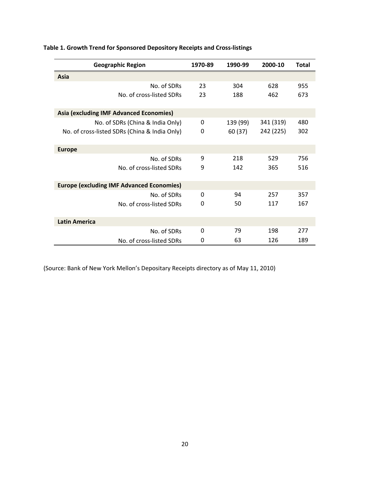| <b>Geographic Region</b>                         | 1970-89  | 1990-99  | 2000-10   | <b>Total</b> |
|--------------------------------------------------|----------|----------|-----------|--------------|
| Asia                                             |          |          |           |              |
| No. of SDRs                                      | 23       | 304      | 628       | 955          |
| No. of cross-listed SDRs                         | 23       | 188      | 462       | 673          |
| <b>Asia (excluding IMF Advanced Economies)</b>   |          |          |           |              |
| No. of SDRs (China & India Only)                 | 0        | 139 (99) | 341 (319) | 480          |
| No. of cross-listed SDRs (China & India Only)    | 0        | 60 (37)  | 242 (225) | 302          |
| <b>Europe</b>                                    |          |          |           |              |
| No. of SDRs                                      | 9        | 218      | 529       | 756          |
| No. of cross-listed SDRs                         | 9        | 142      | 365       | 516          |
| <b>Europe (excluding IMF Advanced Economies)</b> |          |          |           |              |
| No. of SDRs                                      | $\Omega$ | 94       | 257       | 357          |
| No. of cross-listed SDRs                         | 0        | 50       | 117       | 167          |
| <b>Latin America</b>                             |          |          |           |              |
| No. of SDRs                                      | 0        | 79       | 198       | 277          |
| No. of cross-listed SDRs                         | 0        | 63       | 126       | 189          |

# **Table 1. Growth Trend for Sponsored Depository Receipts and Cross‐listings**

(Source: Bank of New York Mellon's Depositary Receipts directory as of May 11, 2010)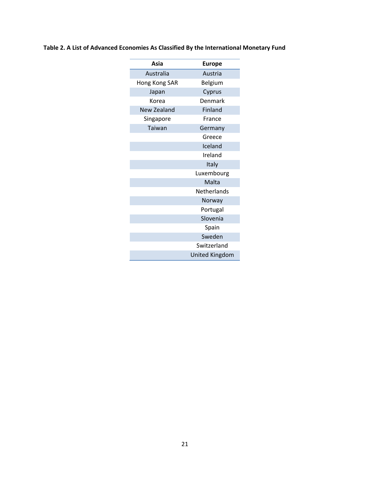| Table 2. A List of Advanced Economies As Classified By the International Monetary Fund |
|----------------------------------------------------------------------------------------|
|----------------------------------------------------------------------------------------|

| Asia               | <b>Europe</b>         |  |
|--------------------|-----------------------|--|
| Australia          | Austria               |  |
| Hong Kong SAR      | Belgium               |  |
| Japan              | Cyprus                |  |
| Korea              | Denmark               |  |
| <b>New Zealand</b> | Finland               |  |
| Singapore          | France                |  |
| Taiwan             | Germany               |  |
|                    | Greece                |  |
|                    | Iceland               |  |
|                    | Ireland               |  |
|                    | Italy                 |  |
|                    | Luxembourg            |  |
|                    | Malta                 |  |
|                    | Netherlands           |  |
|                    | Norway                |  |
|                    | Portugal              |  |
|                    | Slovenia              |  |
|                    | Spain                 |  |
|                    | Sweden                |  |
|                    | Switzerland           |  |
|                    | <b>United Kingdom</b> |  |